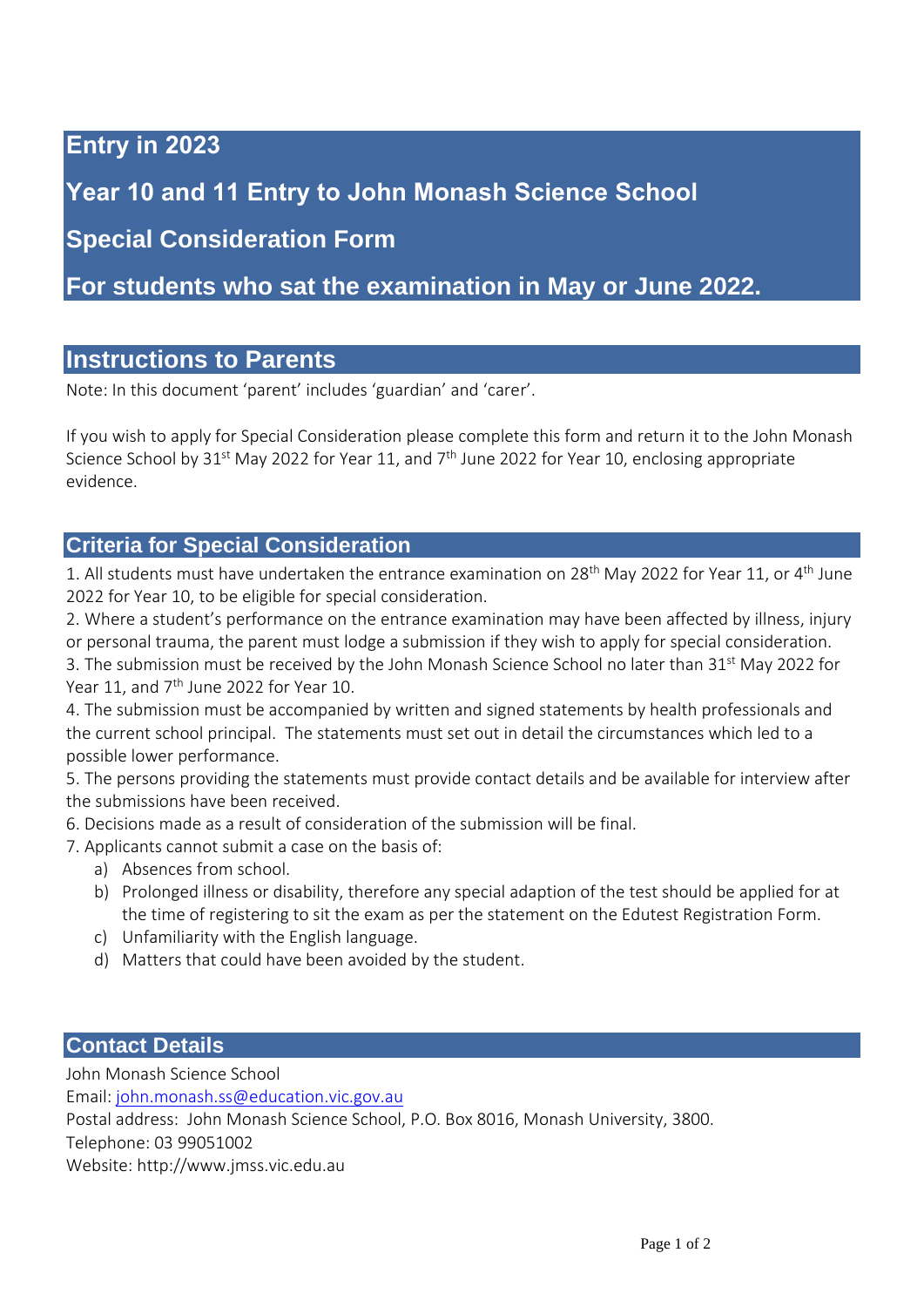### **Entry in 2023**

**Year 10 and 11 Entry to John Monash Science School**

## **Special Consideration Form**

**For students who sat the examination in May or June 2022.**

### **Instructions to Parents**

Note: In this document 'parent' includes 'guardian' and 'carer'.

If you wish to apply for Special Consideration please complete this form and return it to the John Monash Science School by 31<sup>st</sup> May 2022 for Year 11, and 7<sup>th</sup> June 2022 for Year 10, enclosing appropriate evidence.

### **Criteria for Special Consideration**

1. All students must have undertaken the entrance examination on 28<sup>th</sup> May 2022 for Year 11, or 4<sup>th</sup> June 2022 for Year 10, to be eligible for special consideration.

2. Where a student's performance on the entrance examination may have been affected by illness, injury or personal trauma, the parent must lodge a submission if they wish to apply for special consideration.

3. The submission must be received by the John Monash Science School no later than 31<sup>st</sup> May 2022 for Year 11, and 7<sup>th</sup> June 2022 for Year 10.

4. The submission must be accompanied by written and signed statements by health professionals and the current school principal. The statements must set out in detail the circumstances which led to a possible lower performance.

5. The persons providing the statements must provide contact details and be available for interview after the submissions have been received.

6. Decisions made as a result of consideration of the submission will be final.

7. Applicants cannot submit a case on the basis of:

- a) Absences from school.
- b) Prolonged illness or disability, therefore any special adaption of the test should be applied for at the time of registering to sit the exam as per the statement on the Edutest Registration Form.
- c) Unfamiliarity with the English language.
- d) Matters that could have been avoided by the student.

### **Contact Details**

John Monash Science School

Email[: john.monash.ss@education.vic.gov.au](mailto:john.monash.ss@education.vic.gov.au)

Postal address: John Monash Science School, P.O. Box 8016, Monash University, 3800.

Telephone: 03 99051002

Website: http://www.jmss.vic.edu.au